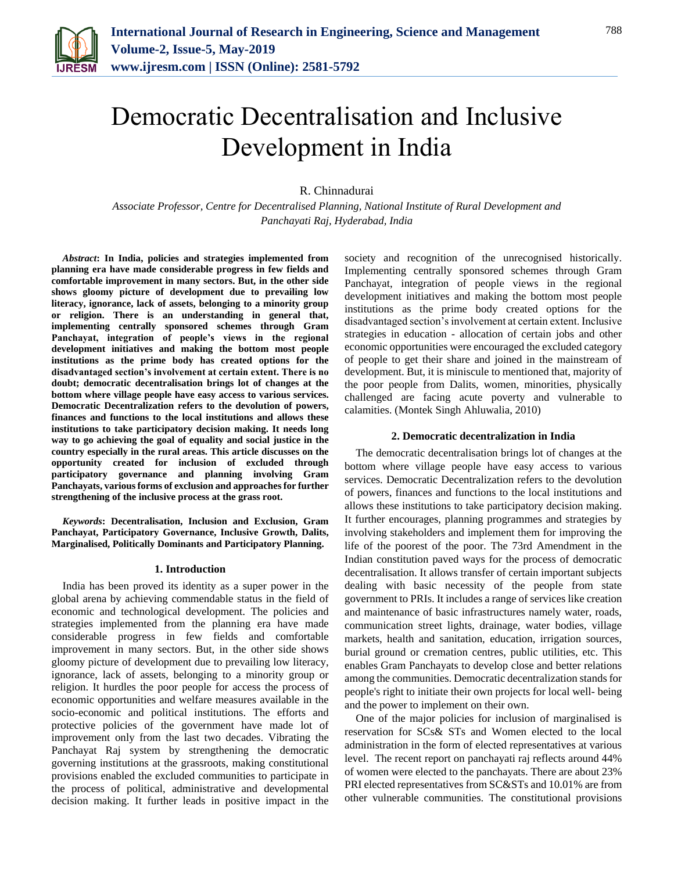

# Democratic Decentralisation and Inclusive Development in India

R. Chinnadurai

*Associate Professor, Centre for Decentralised Planning, National Institute of Rural Development and Panchayati Raj, Hyderabad, India*

*Abstract***: In India, policies and strategies implemented from planning era have made considerable progress in few fields and comfortable improvement in many sectors. But, in the other side shows gloomy picture of development due to prevailing low literacy, ignorance, lack of assets, belonging to a minority group or religion. There is an understanding in general that, implementing centrally sponsored schemes through Gram Panchayat, integration of people's views in the regional development initiatives and making the bottom most people institutions as the prime body has created options for the disadvantaged section's involvement at certain extent. There is no doubt; democratic decentralisation brings lot of changes at the bottom where village people have easy access to various services. Democratic Decentralization refers to the devolution of powers, finances and functions to the local institutions and allows these institutions to take participatory decision making. It needs long way to go achieving the goal of equality and social justice in the country especially in the rural areas. This article discusses on the opportunity created for inclusion of excluded through participatory governance and planning involving Gram Panchayats, various forms of exclusion and approaches for further strengthening of the inclusive process at the grass root.**

*Keywords***: Decentralisation, Inclusion and Exclusion, Gram Panchayat, Participatory Governance, Inclusive Growth, Dalits, Marginalised, Politically Dominants and Participatory Planning.**

#### **1. Introduction**

India has been proved its identity as a super power in the global arena by achieving commendable status in the field of economic and technological development. The policies and strategies implemented from the planning era have made considerable progress in few fields and comfortable improvement in many sectors. But, in the other side shows gloomy picture of development due to prevailing low literacy, ignorance, lack of assets, belonging to a minority group or religion. It hurdles the poor people for access the process of economic opportunities and welfare measures available in the socio-economic and political institutions. The efforts and protective policies of the government have made lot of improvement only from the last two decades. Vibrating the Panchayat Raj system by strengthening the democratic governing institutions at the grassroots, making constitutional provisions enabled the excluded communities to participate in the process of political, administrative and developmental decision making. It further leads in positive impact in the

society and recognition of the unrecognised historically. Implementing centrally sponsored schemes through Gram Panchayat, integration of people views in the regional development initiatives and making the bottom most people institutions as the prime body created options for the disadvantaged section's involvement at certain extent. Inclusive strategies in education - allocation of certain jobs and other economic opportunities were encouraged the excluded category of people to get their share and joined in the mainstream of development. But, it is miniscule to mentioned that, majority of the poor people from Dalits, women, minorities, physically challenged are facing acute poverty and vulnerable to calamities. (Montek Singh Ahluwalia, 2010)

#### **2. Democratic decentralization in India**

The democratic decentralisation brings lot of changes at the bottom where village people have easy access to various services. Democratic Decentralization refers to the devolution of powers, finances and functions to the local institutions and allows these institutions to take participatory decision making. It further encourages, planning programmes and strategies by involving stakeholders and implement them for improving the life of the poorest of the poor. The 73rd Amendment in the Indian constitution paved ways for the process of democratic decentralisation. It allows transfer of certain important subjects dealing with basic necessity of the people from state government to PRIs. It includes a range of services like creation and maintenance of basic infrastructures namely water, roads, communication street lights, drainage, water bodies, village markets, health and sanitation, education, irrigation sources, burial ground or cremation centres, public utilities, etc. This enables Gram Panchayats to develop close and better relations among the communities. Democratic decentralization stands for people's right to initiate their own projects for local well- being and the power to implement on their own.

One of the major policies for inclusion of marginalised is reservation for SCs& STs and Women elected to the local administration in the form of elected representatives at various level. The recent report on panchayati raj reflects around 44% of women were elected to the panchayats. There are about 23% PRI elected representatives from SC&STs and 10.01% are from other vulnerable communities. The constitutional provisions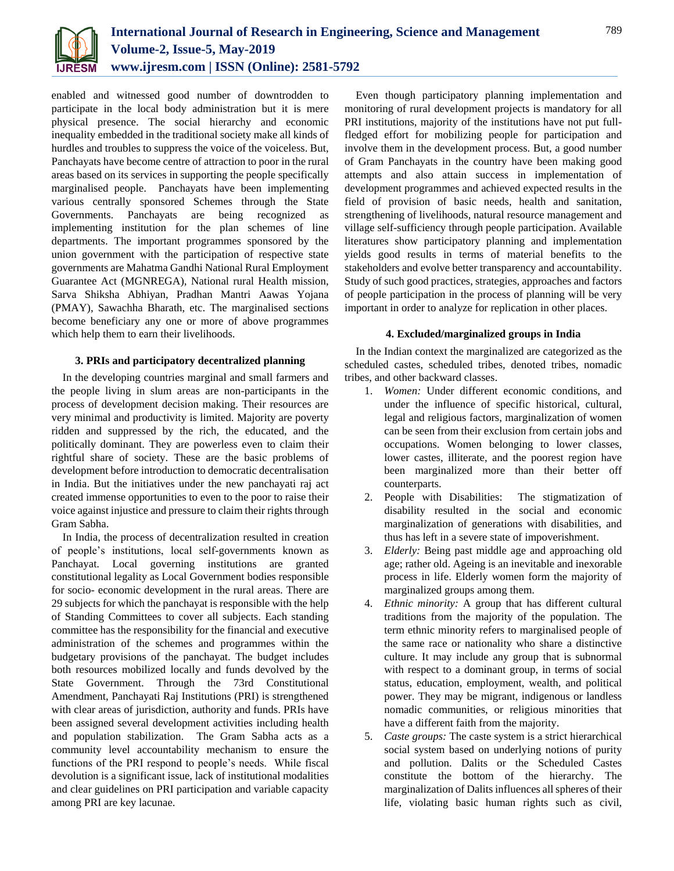

enabled and witnessed good number of downtrodden to participate in the local body administration but it is mere physical presence. The social hierarchy and economic inequality embedded in the traditional society make all kinds of hurdles and troubles to suppress the voice of the voiceless. But, Panchayats have become centre of attraction to poor in the rural areas based on its services in supporting the people specifically marginalised people. Panchayats have been implementing various centrally sponsored Schemes through the State Governments. Panchayats are being recognized as implementing institution for the plan schemes of line departments. The important programmes sponsored by the union government with the participation of respective state governments are Mahatma Gandhi National Rural Employment Guarantee Act (MGNREGA), National rural Health mission, Sarva Shiksha Abhiyan, Pradhan Mantri Aawas Yojana (PMAY), Sawachha Bharath, etc. The marginalised sections become beneficiary any one or more of above programmes which help them to earn their livelihoods.

## **3. PRIs and participatory decentralized planning**

In the developing countries marginal and small farmers and the people living in slum areas are non-participants in the process of development decision making. Their resources are very minimal and productivity is limited. Majority are poverty ridden and suppressed by the rich, the educated, and the politically dominant. They are powerless even to claim their rightful share of society. These are the basic problems of development before introduction to democratic decentralisation in India. But the initiatives under the new panchayati raj act created immense opportunities to even to the poor to raise their voice against injustice and pressure to claim their rights through Gram Sabha.

In India, the process of decentralization resulted in creation of people's institutions, local self-governments known as Panchayat. Local governing institutions are granted constitutional legality as Local Government bodies responsible for socio- economic development in the rural areas. There are 29 subjects for which the panchayat is responsible with the help of Standing Committees to cover all subjects. Each standing committee has the responsibility for the financial and executive administration of the schemes and programmes within the budgetary provisions of the panchayat. The budget includes both resources mobilized locally and funds devolved by the State Government. Through the 73rd Constitutional Amendment, Panchayati Raj Institutions (PRI) is strengthened with clear areas of jurisdiction, authority and funds. PRIs have been assigned several development activities including health and population stabilization. The Gram Sabha acts as a community level accountability mechanism to ensure the functions of the PRI respond to people's needs. While fiscal devolution is a significant issue, lack of institutional modalities and clear guidelines on PRI participation and variable capacity among PRI are key lacunae.

Even though participatory planning implementation and monitoring of rural development projects is mandatory for all PRI institutions, majority of the institutions have not put fullfledged effort for mobilizing people for participation and involve them in the development process. But, a good number of Gram Panchayats in the country have been making good attempts and also attain success in implementation of development programmes and achieved expected results in the field of provision of basic needs, health and sanitation, strengthening of livelihoods, natural resource management and village self-sufficiency through people participation. Available literatures show participatory planning and implementation yields good results in terms of material benefits to the stakeholders and evolve better transparency and accountability. Study of such good practices, strategies, approaches and factors of people participation in the process of planning will be very important in order to analyze for replication in other places.

## **4. Excluded/marginalized groups in India**

In the Indian context the marginalized are categorized as the scheduled castes, scheduled tribes, denoted tribes, nomadic tribes, and other backward classes.

- 1. *Women:* Under different economic conditions, and under the influence of specific historical, cultural, legal and religious factors, marginalization of women can be seen from their exclusion from certain jobs and occupations. Women belonging to lower classes, lower castes, illiterate, and the poorest region have been marginalized more than their better off counterparts.
- 2. People with Disabilities: The stigmatization of disability resulted in the social and economic marginalization of generations with disabilities, and thus has left in a severe state of impoverishment.
- 3. *Elderly:* Being past middle age and approaching old age; rather old. Ageing is an inevitable and inexorable process in life. Elderly women form the majority of marginalized groups among them.
- 4. *Ethnic minority:* A group that has different cultural traditions from the majority of the population. The term ethnic minority refers to marginalised people of the same race or nationality who share a distinctive culture. It may include any group that is subnormal with respect to a dominant group, in terms of social status, education, employment, wealth, and political power. They may be migrant, indigenous or landless nomadic communities, or religious minorities that have a different faith from the majority.
- 5. *Caste groups:* The caste system is a strict hierarchical social system based on underlying notions of purity and pollution. Dalits or the Scheduled Castes constitute the bottom of the hierarchy. The marginalization of Dalits influences all spheres of their life, violating basic human rights such as civil,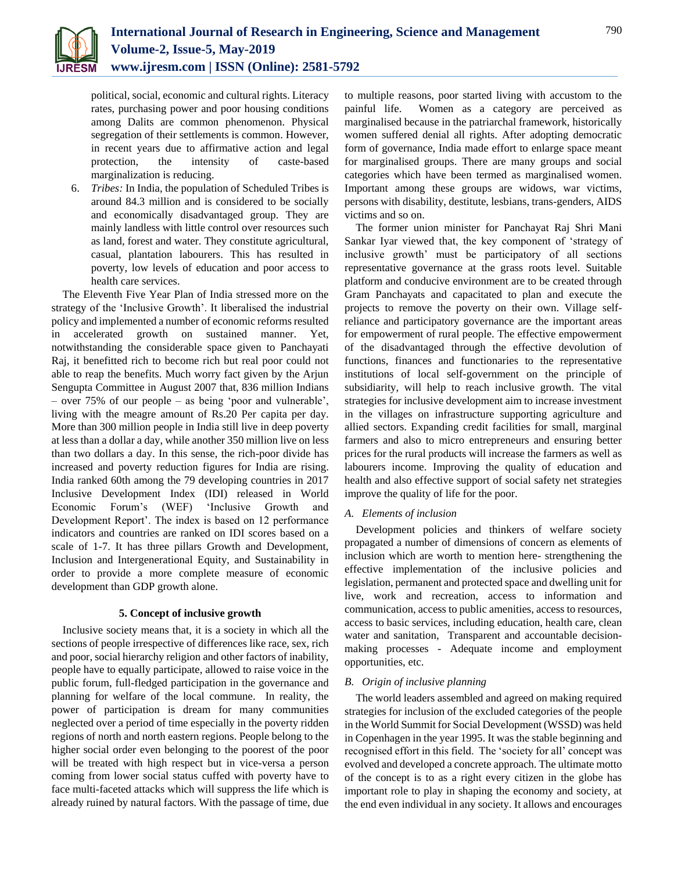political, social, economic and cultural rights. Literacy rates, purchasing power and poor housing conditions among Dalits are common phenomenon. Physical segregation of their settlements is common. However, in recent years due to affirmative action and legal protection, the intensity of caste-based marginalization is reducing.

6. *Tribes:* In India, the population of Scheduled Tribes is around 84.3 million and is considered to be socially and economically disadvantaged group. They are mainly landless with little control over resources such as land, forest and water. They constitute agricultural, casual, plantation labourers. This has resulted in poverty, low levels of education and poor access to health care services.

The Eleventh Five Year Plan of India stressed more on the strategy of the 'Inclusive Growth'. It liberalised the industrial policy and implemented a number of economic reforms resulted in accelerated growth on sustained manner. Yet, notwithstanding the considerable space given to Panchayati Raj, it benefitted rich to become rich but real poor could not able to reap the benefits. Much worry fact given by the Arjun Sengupta Committee in August 2007 that, 836 million Indians – over 75% of our people – as being 'poor and vulnerable', living with the meagre amount of Rs.20 Per capita per day. More than 300 million people in India still live in deep poverty at less than a dollar a day, while another 350 million live on less than two dollars a day. In this sense, the rich-poor divide has increased and poverty reduction figures for India are rising. India ranked 60th among the 79 developing countries in 2017 Inclusive Development Index (IDI) released in World Economic Forum's (WEF) 'Inclusive Growth and Development Report'. The index is based on 12 performance indicators and countries are ranked on IDI scores based on a scale of 1-7. It has three pillars Growth and Development, Inclusion and Intergenerational Equity, and Sustainability in order to provide a more complete measure of economic development than GDP growth alone.

# **5. Concept of inclusive growth**

Inclusive society means that, it is a society in which all the sections of people irrespective of differences like race, sex, rich and poor, social hierarchy religion and other factors of inability, people have to equally participate, allowed to raise voice in the public forum, full-fledged participation in the governance and planning for welfare of the local commune. In reality, the power of participation is dream for many communities neglected over a period of time especially in the poverty ridden regions of north and north eastern regions. People belong to the higher social order even belonging to the poorest of the poor will be treated with high respect but in vice-versa a person coming from lower social status cuffed with poverty have to face multi-faceted attacks which will suppress the life which is already ruined by natural factors. With the passage of time, due to multiple reasons, poor started living with accustom to the painful life. Women as a category are perceived as marginalised because in the patriarchal framework, historically women suffered denial all rights. After adopting democratic form of governance, India made effort to enlarge space meant for marginalised groups. There are many groups and social categories which have been termed as marginalised women. Important among these groups are widows, war victims, persons with disability, destitute, lesbians, trans-genders, AIDS victims and so on.

The former union minister for Panchayat Raj Shri Mani Sankar Iyar viewed that, the key component of 'strategy of inclusive growth' must be participatory of all sections representative governance at the grass roots level. Suitable platform and conducive environment are to be created through Gram Panchayats and capacitated to plan and execute the projects to remove the poverty on their own. Village selfreliance and participatory governance are the important areas for empowerment of rural people. The effective empowerment of the disadvantaged through the effective devolution of functions, finances and functionaries to the representative institutions of local self-government on the principle of subsidiarity, will help to reach inclusive growth. The vital strategies for inclusive development aim to increase investment in the villages on infrastructure supporting agriculture and allied sectors. Expanding credit facilities for small, marginal farmers and also to micro entrepreneurs and ensuring better prices for the rural products will increase the farmers as well as labourers income. Improving the quality of education and health and also effective support of social safety net strategies improve the quality of life for the poor.

# *A. Elements of inclusion*

Development policies and thinkers of welfare society propagated a number of dimensions of concern as elements of inclusion which are worth to mention here- strengthening the effective implementation of the inclusive policies and legislation, permanent and protected space and dwelling unit for live, work and recreation, access to information and communication, access to public amenities, access to resources, access to basic services, including education, health care, clean water and sanitation, Transparent and accountable decisionmaking processes - Adequate income and employment opportunities, etc.

## *B. Origin of inclusive planning*

The world leaders assembled and agreed on making required strategies for inclusion of the excluded categories of the people in the World Summit for Social Development (WSSD) was held in Copenhagen in the year 1995. It was the stable beginning and recognised effort in this field. The 'society for all' concept was evolved and developed a concrete approach. The ultimate motto of the concept is to as a right every citizen in the globe has important role to play in shaping the economy and society, at the end even individual in any society. It allows and encourages